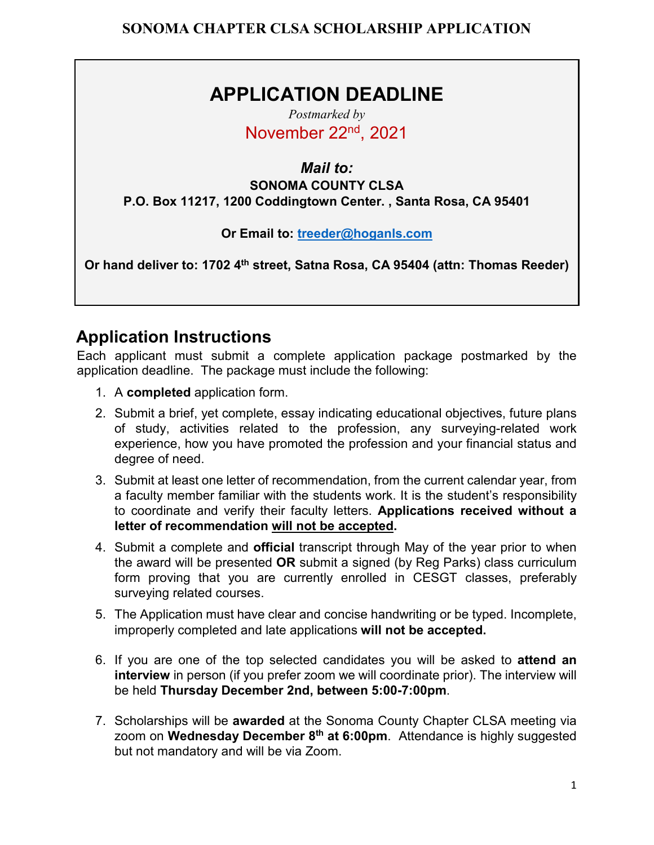## **APPLICATION DEADLINE**

*Postmarked by* November 22nd, 2021

*Mail to:*  **SONOMA COUNTY CLSA** 

**P.O. Box 11217, 1200 Coddingtown Center. , Santa Rosa, CA 95401**

**Or Email to: [treeder@hoganls.com](mailto:treeder@hoganls.com)**

**Or hand deliver to: 1702 4th street, Satna Rosa, CA 95404 (attn: Thomas Reeder)** 

### **Application Instructions**

Each applicant must submit a complete application package postmarked by the application deadline. The package must include the following:

- 1. A **completed** application form.
- 2. Submit a brief, yet complete, essay indicating educational objectives, future plans of study, activities related to the profession, any surveying-related work experience, how you have promoted the profession and your financial status and degree of need.
- 3. Submit at least one letter of recommendation, from the current calendar year, from a faculty member familiar with the students work. It is the student's responsibility to coordinate and verify their faculty letters. **Applications received without a letter of recommendation will not be accepted.**
- 4. Submit a complete and **official** transcript through May of the year prior to when the award will be presented **OR** submit a signed (by Reg Parks) class curriculum form proving that you are currently enrolled in CESGT classes, preferably surveying related courses.
- 5. The Application must have clear and concise handwriting or be typed. Incomplete, improperly completed and late applications **will not be accepted.**
- 6. If you are one of the top selected candidates you will be asked to **attend an interview** in person (if you prefer zoom we will coordinate prior). The interview will be held **Thursday December 2nd, between 5:00-7:00pm**.
- 7. Scholarships will be **awarded** at the Sonoma County Chapter CLSA meeting via zoom on **Wednesday December 8th at 6:00pm**. Attendance is highly suggested but not mandatory and will be via Zoom.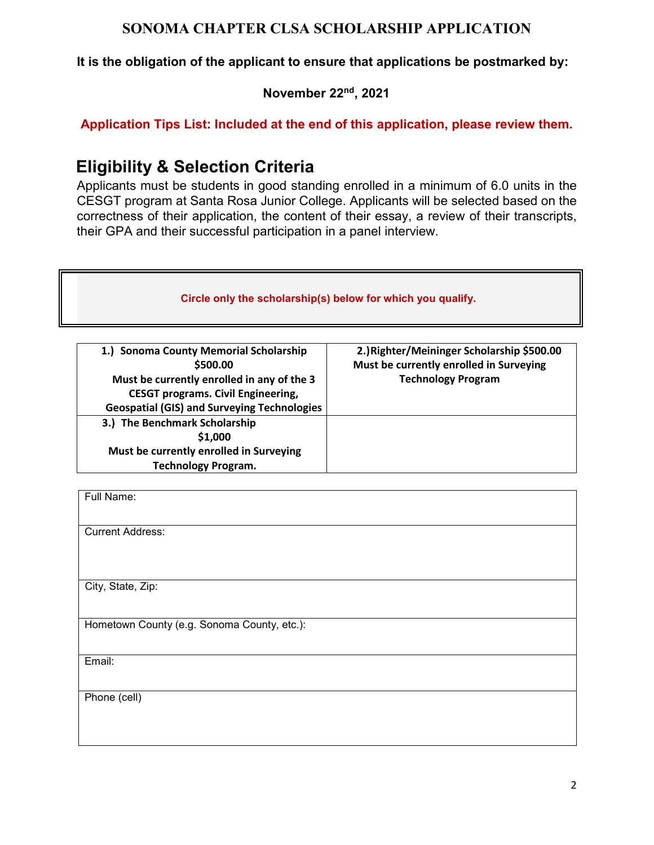**It is the obligation of the applicant to ensure that applications be postmarked by:** 

**November 22nd , 2021**

**Application Tips List: Included at the end of this application, please review them.**

### **Eligibility & Selection Criteria**

**Technology Program.**

Applicants must be students in good standing enrolled in a minimum of 6.0 units in the CESGT program at Santa Rosa Junior College. Applicants will be selected based on the correctness of their application, the content of their essay, a review of their transcripts, their GPA and their successful participation in a panel interview.

| Circle only the scholarship(s) below for which you qualify. |                                            |  |  |  |
|-------------------------------------------------------------|--------------------------------------------|--|--|--|
| 1.) Sonoma County Memorial Scholarship                      | 2.) Righter/Meininger Scholarship \$500.00 |  |  |  |
| \$500.00                                                    | Must be currently enrolled in Surveying    |  |  |  |
| Must be currently enrolled in any of the 3                  | <b>Technology Program</b>                  |  |  |  |
| <b>CESGT programs. Civil Engineering,</b>                   |                                            |  |  |  |
| <b>Geospatial (GIS) and Surveying Technologies</b>          |                                            |  |  |  |
| 3.) The Benchmark Scholarship                               |                                            |  |  |  |
| \$1,000                                                     |                                            |  |  |  |
| Must be currently enrolled in Surveying                     |                                            |  |  |  |

| Full Name:                                  |
|---------------------------------------------|
|                                             |
|                                             |
| <b>Current Address:</b>                     |
|                                             |
|                                             |
|                                             |
| City, State, Zip:                           |
|                                             |
|                                             |
| Hometown County (e.g. Sonoma County, etc.): |
|                                             |
|                                             |
| Email:                                      |
|                                             |
|                                             |
| Phone (cell)                                |
|                                             |
|                                             |
|                                             |
|                                             |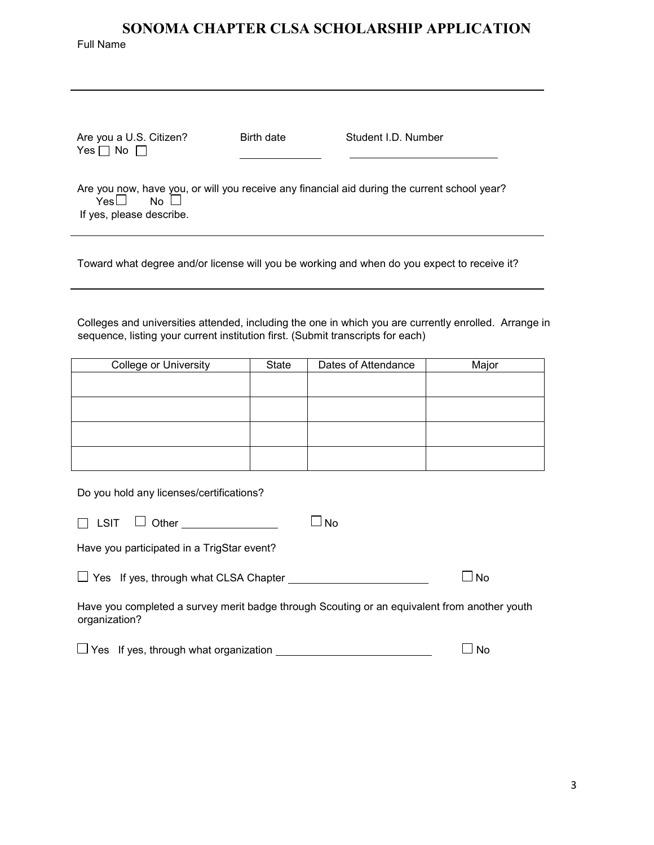# **SONOMA CHAPTER CLSA SCHOLARSHIP APPLICATION**  Full Name Are you a U.S. Citizen? Birth date Student I.D. Number  $Yes \Box No \Box$

Are you now, have you, or will you receive any financial aid during the current school year?<br>
Yes  $\Box$  No  $\Box$ Yes $\Box$ If yes, please describe.

Toward what degree and/or license will you be working and when do you expect to receive it?

Colleges and universities attended, including the one in which you are currently enrolled. Arrange in sequence, listing your current institution first. (Submit transcripts for each)

| <b>College or University</b> | State | Dates of Attendance | Major |
|------------------------------|-------|---------------------|-------|
|                              |       |                     |       |
|                              |       |                     |       |
|                              |       |                     |       |
|                              |       |                     |       |
|                              |       |                     |       |

Do you hold any licenses/certifications?

| $\Box$ LSIT $\Box$ Other | $\square$ No |  |
|--------------------------|--------------|--|
|                          |              |  |

Have you participated in a TrigStar event?

 $\Box$  Yes If yes, through what CLSA Chapter  $\Box$  No

Have you completed a survey merit badge through Scouting or an equivalent from another youth organization?

 $\Box$  Yes If yes, through what organization  $\Box$  No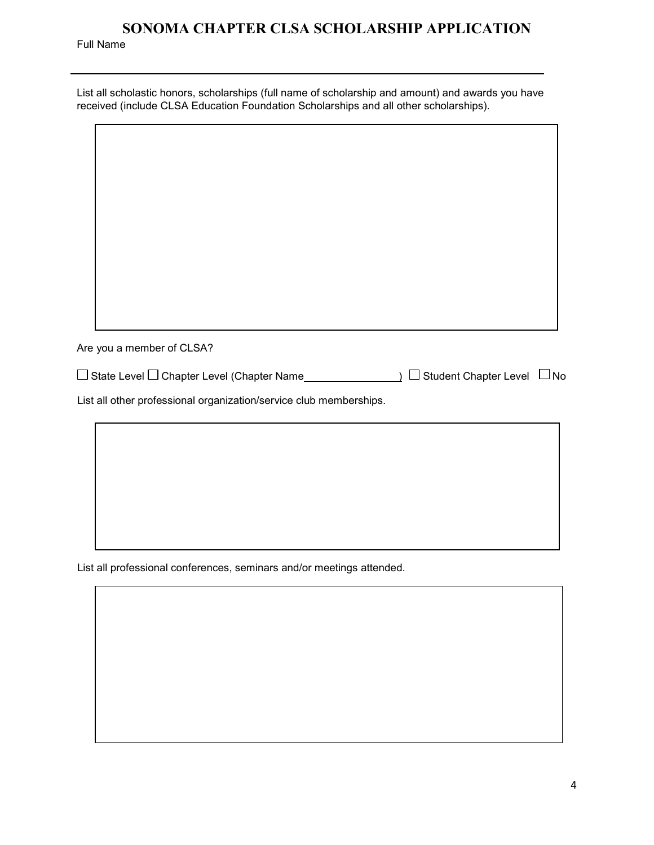Full Name

| List all scholastic honors, scholarships (full name of scholarship and amount) and awards you have |
|----------------------------------------------------------------------------------------------------|
| received (include CLSA Education Foundation Scholarships and all other scholarships).              |

| Are you a member of CLSA?                                          |                                                     |  |
|--------------------------------------------------------------------|-----------------------------------------------------|--|
|                                                                    | $\Box$ Student Chapter Level $\Box$ No<br>$\lambda$ |  |
| List all other professional organization/service club memberships. |                                                     |  |
|                                                                    |                                                     |  |
|                                                                    |                                                     |  |
|                                                                    |                                                     |  |
|                                                                    |                                                     |  |

List all professional conferences, seminars and/or meetings attended.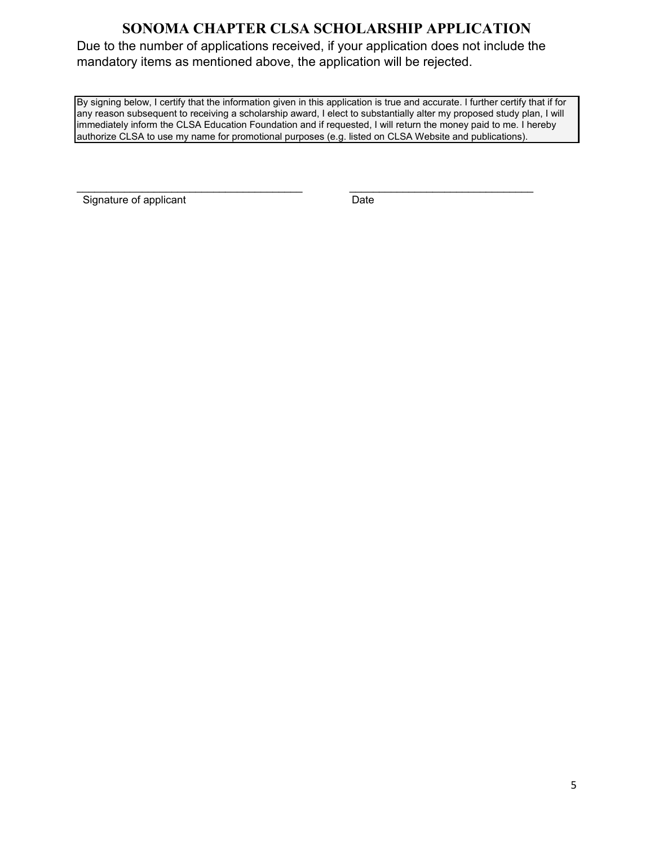Due to the number of applications received, if your application does not include the mandatory items as mentioned above, the application will be rejected.

By signing below, I certify that the information given in this application is true and accurate. I further certify that if for any reason subsequent to receiving a scholarship award, I elect to substantially alter my proposed study plan, I will immediately inform the CLSA Education Foundation and if requested, I will return the money paid to me. I hereby authorize CLSA to use my name for promotional purposes (e.g. listed on CLSA Website and publications).

Signature of applicant Date

\_\_\_\_\_\_\_\_\_\_\_\_\_\_\_\_\_\_\_\_\_\_\_\_\_\_\_\_\_\_\_\_\_\_\_\_\_\_ \_\_\_\_\_\_\_\_\_\_\_\_\_\_\_\_\_\_\_\_\_\_\_\_\_\_\_\_\_\_\_